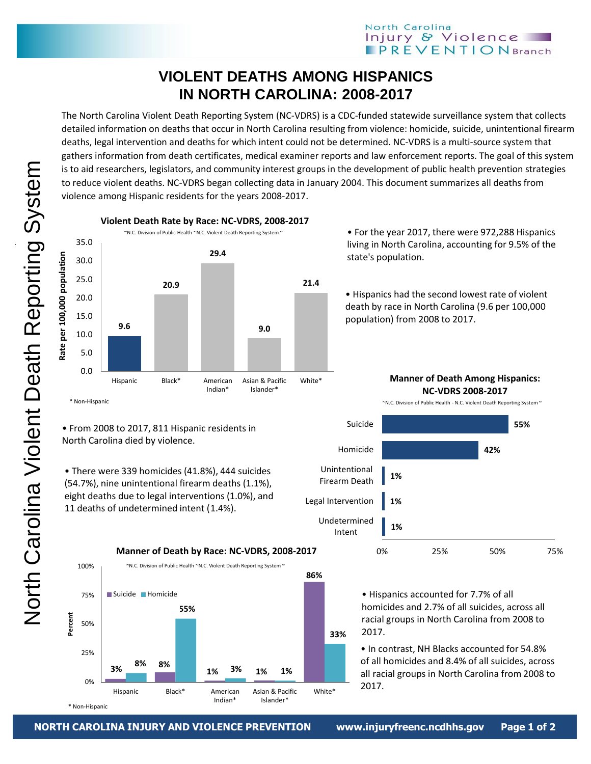## **VIOLENT DEATHS AMONG HISPANICS IN NORTH CAROLINA: 2008-2017**

The North Carolina Violent Death Reporting System (NC-VDRS) is a CDC-funded statewide surveillance system that collects detailed information on deaths that occur in North Carolina resulting from violence: homicide, suicide, unintentional firearm deaths, legal intervention and deaths for which intent could not be determined. NC-VDRS is a multi-source system that gathers information from death certificates, medical examiner reports and law enforcement reports. The goal of this system is to aid researchers, legislators, and community interest groups in the development of public health prevention strategies to reduce violent deaths. NC-VDRS began collecting data in January 2004. This document summarizes all deaths from violence among Hispanic residents for the years 2008-2017.



• For the year 2017, there were 972,288 Hispanics living in North Carolina, accounting for 9.5% of the state's population.

• Hispanics had the second lowest rate of violent death by race in North Carolina (9.6 per 100,000 population) from 2008 to 2017.

> **Manner of Death Among Hispanics: NC-VDRS 2008-2017**









• From 2008 to 2017, 811 Hispanic residents in

11 deaths of undetermined intent (1.4%).

• There were 339 homicides (41.8%), 444 suicides (54.7%), nine unintentional firearm deaths (1.1%), eight deaths due to legal interventions (1.0%), and

North Carolina died by violence.



• Hispanics accounted for 7.7% of all homicides and 2.7% of all suicides, across all racial groups in North Carolina from 2008 to 2017.

• In contrast, NH Blacks accounted for 54.8% of all homicides and 8.4% of all suicides, across all racial groups in North Carolina from 2008 to 2017.

\* Non-Hispanic

**Percent**